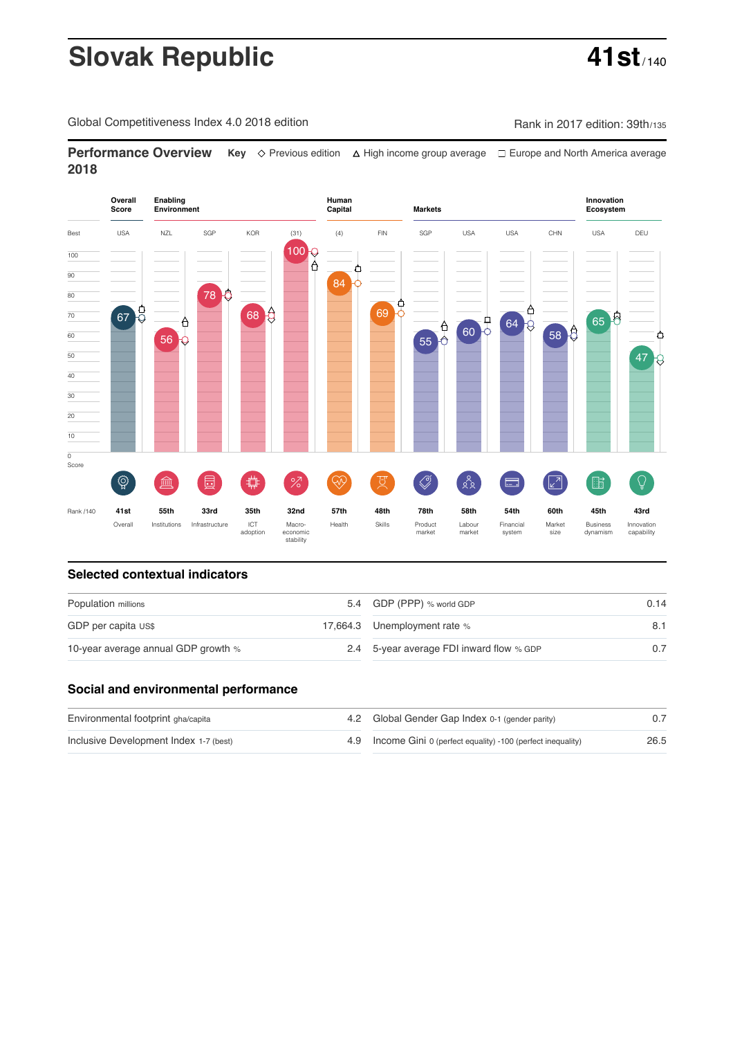# **Slovak Republic 41st**

Global Competitiveness Index 4.0 2018 edition Company Rank in 2017 edition: 39th/135

**Performance Overview** Key  $\Diamond$  Previous edition ∆ High income group average  $\Box$  Europe and North America average **2018**



### **Selected contextual indicators**

| Population millions                 | 5.4 GDP (PPP) % world GDP                | 0.14 |  |
|-------------------------------------|------------------------------------------|------|--|
| GDP per capita US\$                 | 17,664.3 Unemployment rate %             | 8.1  |  |
| 10-year average annual GDP growth % | 2.4 5-year average FDI inward flow % GDP | 0.7  |  |

### **Social and environmental performance**

| Environmental footprint gha/capita     | 4.2 Global Gender Gap Index 0-1 (gender parity)                |      |
|----------------------------------------|----------------------------------------------------------------|------|
| Inclusive Development Index 1-7 (best) | 4.9 Income Gini 0 (perfect equality) -100 (perfect inequality) | 26.5 |

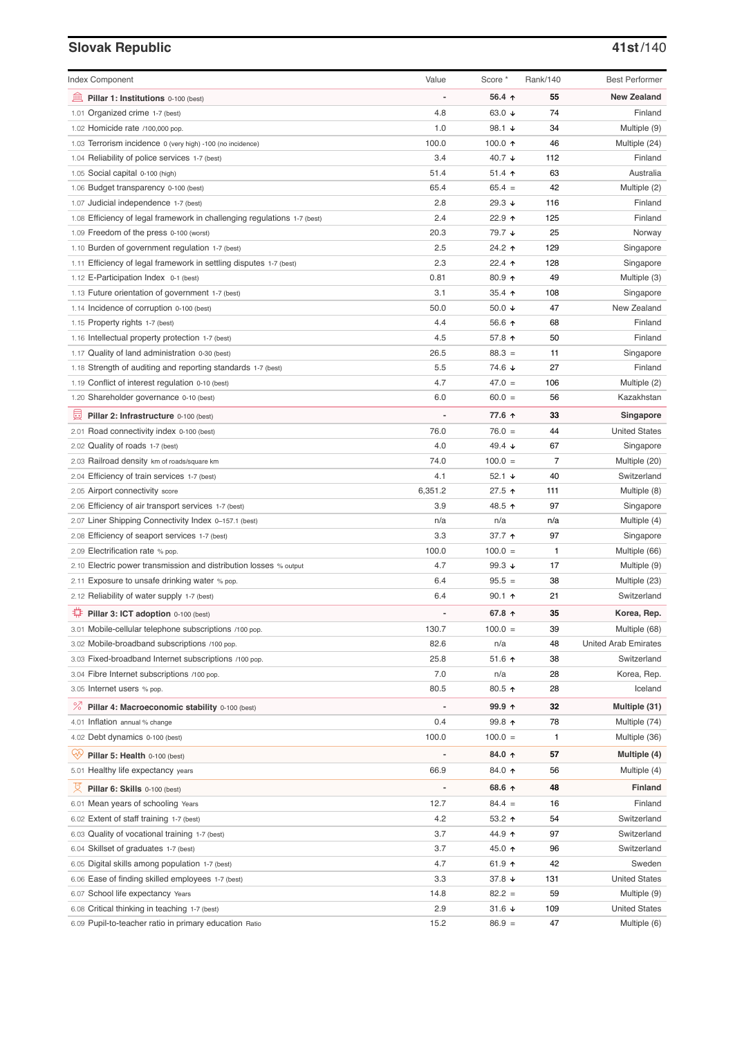# **Slovak Republic 41st**/140

| <b>Index Component</b>                                                   | Value                    | Score *          | Rank/140 | <b>Best Performer</b>       |
|--------------------------------------------------------------------------|--------------------------|------------------|----------|-----------------------------|
| 寙<br>Pillar 1: Institutions 0-100 (best)                                 | Ĭ.                       | 56.4 ↑           | 55       | <b>New Zealand</b>          |
| 1.01 Organized crime 1-7 (best)                                          | 4.8                      | 63.0 ↓           | 74       | Finland                     |
| 1.02 Homicide rate /100,000 pop.                                         | 1.0                      | 98.1 $\sqrt{ }$  | 34       | Multiple (9)                |
| 1.03 Terrorism incidence 0 (very high) -100 (no incidence)               | 100.0                    | 100.0 $\uparrow$ | 46       | Multiple (24)               |
| 1.04 Reliability of police services 1-7 (best)                           | 3.4                      | 40.7 ↓           | 112      | Finland                     |
| 1.05 Social capital 0-100 (high)                                         | 51.4                     | $51.4$ 1         | 63       | Australia                   |
| 1.06 Budget transparency 0-100 (best)                                    | 65.4                     | $65.4 =$         | 42       | Multiple (2)                |
| 1.07 Judicial independence 1-7 (best)                                    | 2.8                      | 29.3 ↓           | 116      | Finland                     |
| 1.08 Efficiency of legal framework in challenging regulations 1-7 (best) | 2.4                      | 22.9 ↑           | 125      | Finland                     |
| 1.09 Freedom of the press 0-100 (worst)                                  | 20.3                     | 79.7 ↓           | 25       | Norway                      |
| 1.10 Burden of government regulation 1-7 (best)                          | 2.5                      | 24.2 ↑           | 129      | Singapore                   |
| 1.11 Efficiency of legal framework in settling disputes 1-7 (best)       | 2.3                      | 22.4 $\uparrow$  | 128      | Singapore                   |
| 1.12 E-Participation Index 0-1 (best)                                    | 0.81                     | $80.9$ 1         | 49       | Multiple (3)                |
| 1.13 Future orientation of government 1-7 (best)                         | 3.1                      | $35.4$ ↑         | 108      | Singapore                   |
| 1.14 Incidence of corruption 0-100 (best)                                | 50.0                     | 50.0 $\sqrt{ }$  | 47       | New Zealand                 |
| 1.15 Property rights 1-7 (best)                                          | 4.4                      | 56.6 ↑           | 68       | Finland                     |
| 1.16 Intellectual property protection 1-7 (best)                         | 4.5                      | 57.8 个           | 50       | Finland                     |
| 1.17 Quality of land administration 0-30 (best)                          | 26.5                     | $88.3 =$         | 11       | Singapore                   |
| 1.18 Strength of auditing and reporting standards 1-7 (best)             | 5.5                      | 74.6 ↓           | 27       | Finland                     |
| 1.19 Conflict of interest regulation 0-10 (best)                         | 4.7                      | $47.0 =$         | 106      | Multiple (2)                |
| 1.20 Shareholder governance 0-10 (best)                                  | 6.0                      | $60.0 =$         | 56       | Kazakhstan                  |
| 員<br>Pillar 2: Infrastructure 0-100 (best)                               |                          | 77.6 ↑           | 33       | Singapore                   |
| 2.01 Road connectivity index 0-100 (best)                                | 76.0                     | $76.0 =$         | 44       | <b>United States</b>        |
| 2.02 Quality of roads 1-7 (best)                                         | 4.0                      | 49.4 $\sqrt{ }$  | 67       | Singapore                   |
| 2.03 Railroad density km of roads/square km                              | 74.0                     | $100.0 =$        | 7        | Multiple (20)               |
| 2.04 Efficiency of train services 1-7 (best)                             | 4.1                      | $52.1 +$         | 40       | Switzerland                 |
| 2.05 Airport connectivity score                                          | 6,351.2                  | 27.5 ↑           | 111      | Multiple (8)                |
| 2.06 Efficiency of air transport services 1-7 (best)                     | 3.9                      | 48.5 ↑           | 97       | Singapore                   |
| 2.07 Liner Shipping Connectivity Index 0-157.1 (best)                    | n/a                      | n/a              | n/a      | Multiple (4)                |
| 2.08 Efficiency of seaport services 1-7 (best)                           | 3.3                      | 37.7 1           | 97       | Singapore                   |
| 2.09 Electrification rate % pop.                                         | 100.0                    | $100.0 =$        | 1        | Multiple (66)               |
| 2.10 Electric power transmission and distribution losses % output        | 4.7                      | 99.3 $\sqrt{ }$  | 17       | Multiple (9)                |
| 2.11 Exposure to unsafe drinking water % pop.                            | 6.4                      | $95.5 =$         | 38       | Multiple (23)               |
| 2.12 Reliability of water supply 1-7 (best)                              | 6.4                      | $90.1$ 1         | 21       | Switzerland                 |
| O<br>Pillar 3: ICT adoption 0-100 (best)                                 |                          | 67.8 ↑           | 35       | Korea, Rep.                 |
| 3.01 Mobile-cellular telephone subscriptions /100 pop.                   | 130.7                    | $100.0 =$        | 39       | Multiple (68)               |
| 3.02 Mobile-broadband subscriptions /100 pop.                            | 82.6                     | n/a              | 48       | <b>United Arab Emirates</b> |
| 3.03 Fixed-broadband Internet subscriptions /100 pop.                    | 25.8                     | 51.6 ↑           | 38       | Switzerland                 |
| 3.04 Fibre Internet subscriptions /100 pop.                              | 7.0                      | n/a              | 28       | Korea, Rep.                 |
| 3.05 Internet users % pop.                                               | 80.5                     | 80.5 个           | 28       | Iceland                     |
| ℅<br>Pillar 4: Macroeconomic stability 0-100 (best)                      | $\overline{\phantom{a}}$ | 99.9 个           | 32       | Multiple (31)               |
| 4.01 Inflation annual % change                                           | 0.4                      | 99.8 个           | 78       | Multiple (74)               |
| 4.02 Debt dynamics 0-100 (best)                                          | 100.0                    | $100.0 =$        | 1        | Multiple (36)               |
|                                                                          |                          |                  |          |                             |
| Qÿ<br>Pillar 5: Health 0-100 (best)                                      | Ĭ.                       | 84.0 ↑           | 57       | Multiple (4)                |
| 5.01 Healthy life expectancy years                                       | 66.9                     | 84.0 ↑           | 56       | Multiple (4)                |
| 섯<br>Pillar 6: Skills 0-100 (best)                                       | $\overline{a}$           | 68.6 ↑           | 48       | Finland                     |
| 6.01 Mean years of schooling Years                                       | 12.7                     | $84.4 =$         | 16       | Finland                     |
| 6.02 Extent of staff training 1-7 (best)                                 | 4.2                      | $53.2$ ↑         | 54       | Switzerland                 |
| 6.03 Quality of vocational training 1-7 (best)                           | 3.7                      | 44.9 ↑           | 97       | Switzerland                 |
| 6.04 Skillset of graduates 1-7 (best)                                    | 3.7                      | 45.0 ↑           | 96       | Switzerland                 |
| 6.05 Digital skills among population 1-7 (best)                          | 4.7                      | 61.9 ↑           | 42       | Sweden                      |
| 6.06 Ease of finding skilled employees 1-7 (best)                        | 3.3                      | 37.8 ↓           | 131      | <b>United States</b>        |
| 6.07 School life expectancy Years                                        | 14.8                     | $82.2 =$         | 59       | Multiple (9)                |
| 6.08 Critical thinking in teaching 1-7 (best)                            | 2.9                      | 31.6 ↓           | 109      | <b>United States</b>        |
| 6.09 Pupil-to-teacher ratio in primary education Ratio                   | 15.2                     | $86.9 =$         | 47       | Multiple (6)                |